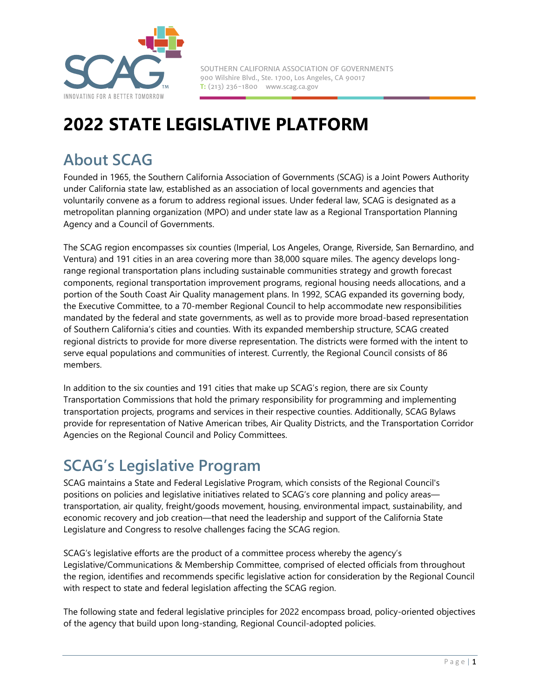

SOUTHERN CALIFORNIA ASSOCIATION OF GOVERNMENTS 900 Wilshire Blvd., Ste. 1700, Los Angeles, CA 90017 **T:** (213) 236-1800 www.scag.ca.gov

# **2022 STATE LEGISLATIVE PLATFORM**

# **About SCAG**

Founded in 1965, the Southern California Association of Governments (SCAG) is a Joint Powers Authority under California state law, established as an association of local governments and agencies that voluntarily convene as a forum to address regional issues. Under federal law, SCAG is designated as a metropolitan planning organization (MPO) and under state law as a Regional Transportation Planning Agency and a Council of Governments.

The SCAG region encompasses six counties (Imperial, Los Angeles, Orange, Riverside, San Bernardino, and Ventura) and 191 cities in an area covering more than 38,000 square miles. The agency develops longrange regional transportation plans including sustainable communities strategy and growth forecast components, regional transportation improvement programs, regional housing needs allocations, and a portion of the South Coast Air Quality management plans. In 1992, SCAG expanded its governing body, the Executive Committee, to a 70-member Regional Council to help accommodate new responsibilities mandated by the federal and state governments, as well as to provide more broad-based representation of Southern California's cities and counties. With its expanded membership structure, SCAG created regional districts to provide for more diverse representation. The districts were formed with the intent to serve equal populations and communities of interest. Currently, the Regional Council consists of 86 members.

In addition to the six counties and 191 cities that make up SCAG's region, there are six County Transportation Commissions that hold the primary responsibility for programming and implementing transportation projects, programs and services in their respective counties. Additionally, SCAG Bylaws provide for representation of Native American tribes, Air Quality Districts, and the Transportation Corridor Agencies on the Regional Council and Policy Committees.

# **SCAG's Legislative Program**

SCAG maintains a State and Federal Legislative Program, which consists of the Regional Council's positions on policies and legislative initiatives related to SCAG's core planning and policy areas transportation, air quality, freight/goods movement, housing, environmental impact, sustainability, and economic recovery and job creation—that need the leadership and support of the California State Legislature and Congress to resolve challenges facing the SCAG region.

SCAG's legislative efforts are the product of a committee process whereby the agency's Legislative/Communications & Membership Committee, comprised of elected officials from throughout the region, identifies and recommends specific legislative action for consideration by the Regional Council with respect to state and federal legislation affecting the SCAG region.

The following state and federal legislative principles for 2022 encompass broad, policy-oriented objectives of the agency that build upon long-standing, Regional Council-adopted policies.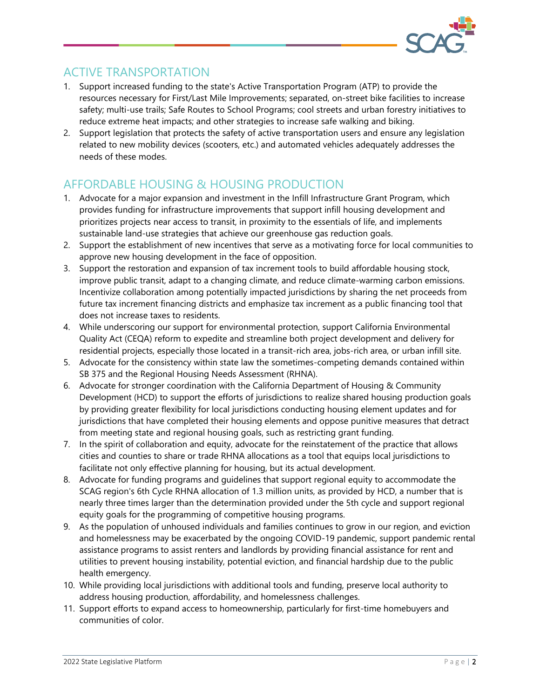

### ACTIVE TRANSPORTATION

- 1. Support increased funding to the state's Active Transportation Program (ATP) to provide the resources necessary for First/Last Mile Improvements; separated, on-street bike facilities to increase safety; multi-use trails; Safe Routes to School Programs; cool streets and urban forestry initiatives to reduce extreme heat impacts; and other strategies to increase safe walking and biking.
- 2. Support legislation that protects the safety of active transportation users and ensure any legislation related to new mobility devices (scooters, etc.) and automated vehicles adequately addresses the needs of these modes.

# AFFORDABLE HOUSING & HOUSING PRODUCTION

- 900 Wilshire Blvd., Ste. 1700, Los Angeles, CA 90017 1. Advocate for a major expansion and investment in the Infill Infrastructure Grant Program, which provides funding for infrastructure improvements that support infill housing development and prioritizes projects near access to transit, in proximity to the essentials of life, and implements sustainable land-use strategies that achieve our greenhouse gas reduction goals.
- 2. Support the establishment of new incentives that serve as a motivating force for local communities to approve new housing development in the face of opposition.
- 3. Support the restoration and expansion of tax increment tools to build affordable housing stock, improve public transit, adapt to a changing climate, and reduce climate-warming carbon emissions. Incentivize collaboration among potentially impacted jurisdictions by sharing the net proceeds from future tax increment financing districts and emphasize tax increment as a public financing tool that does not increase taxes to residents.
- 4. While underscoring our support for environmental protection, support California Environmental Quality Act (CEQA) reform to expedite and streamline both project development and delivery for residential projects, especially those located in a transit-rich area, jobs-rich area, or urban infill site.
- 5. Advocate for the consistency within state law the sometimes-competing demands contained within SB 375 and the Regional Housing Needs Assessment (RHNA).
- 6. Advocate for stronger coordination with the California Department of Housing & Community Development (HCD) to support the efforts of jurisdictions to realize shared housing production goals by providing greater flexibility for local jurisdictions conducting housing element updates and for jurisdictions that have completed their housing elements and oppose punitive measures that detract from meeting state and regional housing goals, such as restricting grant funding.
- 7. In the spirit of collaboration and equity, advocate for the reinstatement of the practice that allows cities and counties to share or trade RHNA allocations as a tool that equips local jurisdictions to facilitate not only effective planning for housing, but its actual development.
- 8. Advocate for funding programs and guidelines that support regional equity to accommodate the SCAG region's 6th Cycle RHNA allocation of 1.3 million units, as provided by HCD, a number that is nearly three times larger than the determination provided under the 5th cycle and support regional equity goals for the programming of competitive housing programs.
- 9. As the population of unhoused individuals and families continues to grow in our region, and eviction and homelessness may be exacerbated by the ongoing COVID-19 pandemic, support pandemic rental assistance programs to assist renters and landlords by providing financial assistance for rent and utilities to prevent housing instability, potential eviction, and financial hardship due to the public health emergency.
- 10. While providing local jurisdictions with additional tools and funding, preserve local authority to address housing production, affordability, and homelessness challenges.
- 11. Support efforts to expand access to homeownership, particularly for first-time homebuyers and communities of color.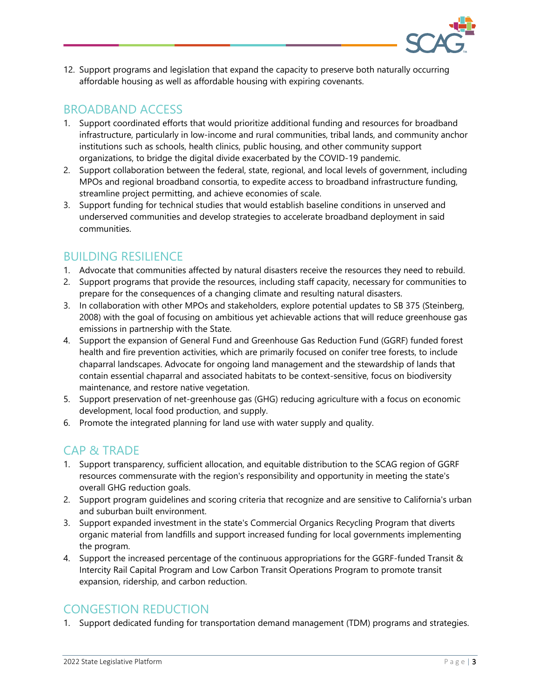

12. Support programs and legislation that expand the capacity to preserve both naturally occurring affordable housing as well as affordable housing with expiring covenants.

#### BROADBAND ACCESS

- 1. Support coordinated efforts that would prioritize additional funding and resources for broadband infrastructure, particularly in low-income and rural communities, tribal lands, and community anchor institutions such as schools, health clinics, public housing, and other community support organizations, to bridge the digital divide exacerbated by the COVID-19 pandemic.
- MPOs and regional broadband consortia, to expedite access to broadband infrastructure funding, streamline project permitting, and achieve economies of scale. 2. Support collaboration between the federal, state, regional, and local levels of government, including
- 3. Support funding for technical studies that would establish baseline conditions in unserved and underserved communities and develop strategies to accelerate broadband deployment in said communities.

#### BUILDING RESILIENCE

- 1. Advocate that communities affected by natural disasters receive the resources they need to rebuild.
- 2. Support programs that provide the resources, including staff capacity, necessary for communities to prepare for the consequences of a changing climate and resulting natural disasters.
- 3. In collaboration with other MPOs and stakeholders, explore potential updates to SB 375 (Steinberg, 2008) with the goal of focusing on ambitious yet achievable actions that will reduce greenhouse gas emissions in partnership with the State.
- 4. Support the expansion of General Fund and Greenhouse Gas Reduction Fund (GGRF) funded forest health and fire prevention activities, which are primarily focused on conifer tree forests, to include chaparral landscapes. Advocate for ongoing land management and the stewardship of lands that contain essential chaparral and associated habitats to be context-sensitive, focus on biodiversity maintenance, and restore native vegetation.
- 5. Support preservation of net-greenhouse gas (GHG) reducing agriculture with a focus on economic development, local food production, and supply.
- 6. Promote the integrated planning for land use with water supply and quality.

#### CAP & TRADE

- 1. Support transparency, sufficient allocation, and equitable distribution to the SCAG region of GGRF resources commensurate with the region's responsibility and opportunity in meeting the state's overall GHG reduction goals.
- 2. Support program guidelines and scoring criteria that recognize and are sensitive to California's urban and suburban built environment.
- 3. Support expanded investment in the state's Commercial Organics Recycling Program that diverts organic material from landfills and support increased funding for local governments implementing the program.
- 4. Support the increased percentage of the continuous appropriations for the GGRF-funded Transit & Intercity Rail Capital Program and Low Carbon Transit Operations Program to promote transit expansion, ridership, and carbon reduction.

# CONGESTION REDUCTION

1. Support dedicated funding for transportation demand management (TDM) programs and strategies.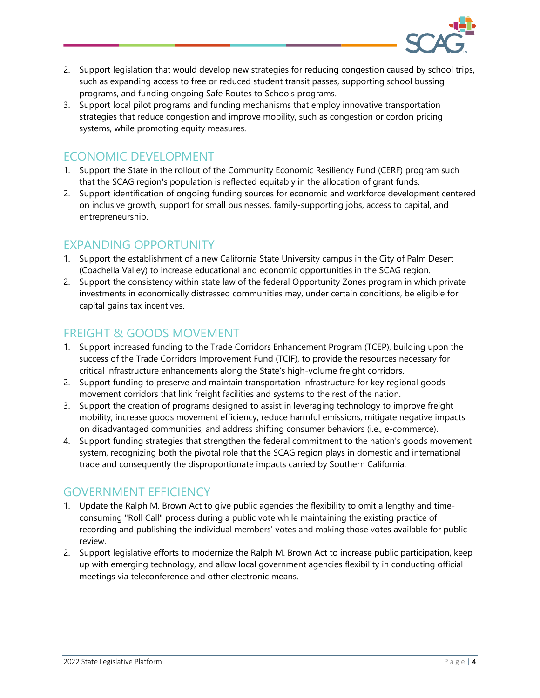

- 2. Support legislation that would develop new strategies for reducing congestion caused by school trips, such as expanding access to free or reduced student transit passes, supporting school bussing programs, and funding ongoing Safe Routes to Schools programs.
- 3. Support local pilot programs and funding mechanisms that employ innovative transportation strategies that reduce congestion and improve mobility, such as congestion or cordon pricing systems, while promoting equity measures.

# ECONOMIC DEVELOPMENT

- that the SCAG region's population is reflected equitably in the allocation of grant funds. 1. Support the State in the rollout of the Community Economic Resiliency Fund (CERF) program such
- 2. Support identification of ongoing funding sources for economic and workforce development centered on inclusive growth, support for small businesses, family-supporting jobs, access to capital, and entrepreneurship.

#### EXPANDING OPPORTUNITY

- 1. Support the establishment of a new California State University campus in the City of Palm Desert (Coachella Valley) to increase educational and economic opportunities in the SCAG region.
- 2. Support the consistency within state law of the federal Opportunity Zones program in which private investments in economically distressed communities may, under certain conditions, be eligible for capital gains tax incentives.

# FREIGHT & GOODS MOVEMENT

- 1. Support increased funding to the Trade Corridors Enhancement Program (TCEP), building upon the success of the Trade Corridors Improvement Fund (TCIF), to provide the resources necessary for critical infrastructure enhancements along the State's high-volume freight corridors.
- 2. Support funding to preserve and maintain transportation infrastructure for key regional goods movement corridors that link freight facilities and systems to the rest of the nation.
- 3. Support the creation of programs designed to assist in leveraging technology to improve freight mobility, increase goods movement efficiency, reduce harmful emissions, mitigate negative impacts on disadvantaged communities, and address shifting consumer behaviors (i.e., e-commerce).
- 4. Support funding strategies that strengthen the federal commitment to the nation's goods movement system, recognizing both the pivotal role that the SCAG region plays in domestic and international trade and consequently the disproportionate impacts carried by Southern California.

#### GOVERNMENT EFFICIENCY

- 1. Update the Ralph M. Brown Act to give public agencies the flexibility to omit a lengthy and timeconsuming "Roll Call" process during a public vote while maintaining the existing practice of recording and publishing the individual members' votes and making those votes available for public review.
- 2. Support legislative efforts to modernize the Ralph M. Brown Act to increase public participation, keep up with emerging technology, and allow local government agencies flexibility in conducting official meetings via teleconference and other electronic means.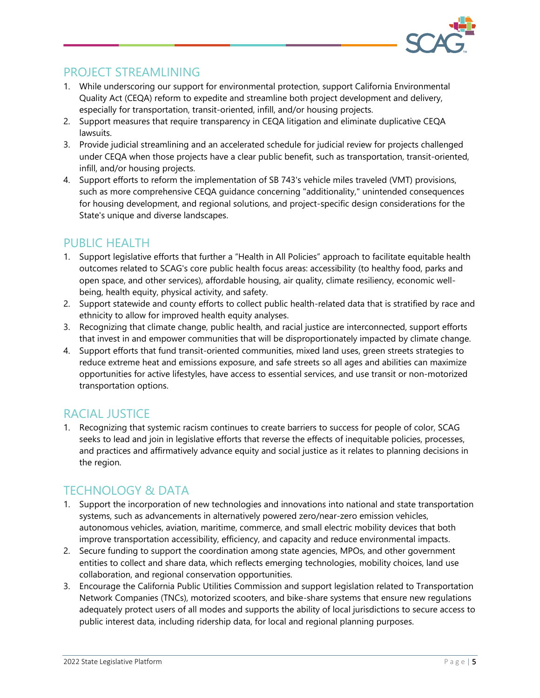

#### PROJECT STREAMLINING

- 1. While underscoring our support for environmental protection, support California Environmental Quality Act (CEQA) reform to expedite and streamline both project development and delivery, especially for transportation, transit-oriented, infill, and/or housing projects.
- 2. Support measures that require transparency in CEQA litigation and eliminate duplicative CEQA lawsuits.
- 3. Provide judicial streamlining and an accelerated schedule for judicial review for projects challenged under CEQA when those projects have a clear public benefit, such as transportation, transit-oriented, infill, and/or housing projects.
- 4. Support efforts to reform the implementation of SB 743's vehicle miles traveled (VMT) provisions, such as more comprehensive CEQA guidance concerning "additionality," unintended consequences for housing development, and regional solutions, and project-specific design considerations for the State's unique and diverse landscapes.

# PUBLIC HEALTH

- 1. Support legislative efforts that further a "Health in All Policies" approach to facilitate equitable health outcomes related to SCAG's core public health focus areas: accessibility (to healthy food, parks and open space, and other services), affordable housing, air quality, climate resiliency, economic wellbeing, health equity, physical activity, and safety.
- 2. Support statewide and county efforts to collect public health-related data that is stratified by race and ethnicity to allow for improved health equity analyses.
- 3. Recognizing that climate change, public health, and racial justice are interconnected, support efforts that invest in and empower communities that will be disproportionately impacted by climate change.
- 4. Support efforts that fund transit-oriented communities, mixed land uses, green streets strategies to reduce extreme heat and emissions exposure, and safe streets so all ages and abilities can maximize opportunities for active lifestyles, have access to essential services, and use transit or non-motorized transportation options.

# RACIAL JUSTICE

1. Recognizing that systemic racism continues to create barriers to success for people of color, SCAG seeks to lead and join in legislative efforts that reverse the effects of inequitable policies, processes, and practices and affirmatively advance equity and social justice as it relates to planning decisions in the region.

# TECHNOLOGY & DATA

- 1. Support the incorporation of new technologies and innovations into national and state transportation systems, such as advancements in alternatively powered zero/near-zero emission vehicles, autonomous vehicles, aviation, maritime, commerce, and small electric mobility devices that both improve transportation accessibility, efficiency, and capacity and reduce environmental impacts.
- 2. Secure funding to support the coordination among state agencies, MPOs, and other government entities to collect and share data, which reflects emerging technologies, mobility choices, land use collaboration, and regional conservation opportunities.
- 3. Encourage the California Public Utilities Commission and support legislation related to Transportation Network Companies (TNCs), motorized scooters, and bike-share systems that ensure new regulations adequately protect users of all modes and supports the ability of local jurisdictions to secure access to public interest data, including ridership data, for local and regional planning purposes.